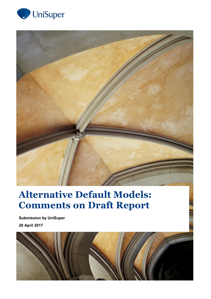



# **Alternative Default Models: Comments on Draft Report**

**Submission by UniSuper 28 April 2017**

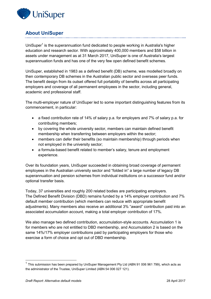

# **About UniSuper**

UniSuper<sup>1</sup> is the superannuation fund dedicated to people working in Australia's higher education and research sector. With approximately 400,000 members and \$58 billion in assets under management as at 31 March 2017, UniSuper is one of Australia's largest superannuation funds and has one of the very few open defined benefit schemes.

UniSuper, established in 1983 as a defined benefit (DB) scheme, was modelled broadly on then contemporary DB schemes in the Australian public sector and overseas peer funds. The benefit design from its outset offered full portability of benefits across all participating employers and coverage of all permanent employees in the sector, including general, academic and professional staff.

The multi-employer nature of UniSuper led to some important distinguishing features from its commencement, in particular:

- a fixed contribution rate of 14% of salary p.a. for employers and 7% of salary p.a. for contributing members;
- by covering the whole university sector, members can maintain defined benefit membership when transferring between employers within the sector;
- members can defer their benefits (so maintain membership) through periods when not employed in the university sector;
- a formula-based benefit related to member's salary, tenure and employment experience.

Over its foundation years, UniSuper succeeded in obtaining broad coverage of permanent employees in the Australian university sector and "folded in" a large number of legacy DB superannuation and pension schemes from individual institutions on a successor fund and/or optional transfer basis.

Today, 37 universities and roughly 200 related bodies are participating employers. The Defined Benefit Division (DBD) remains funded by a 14% employer contribution and 7% default member contribution (which members can reduce with appropriate benefit adjustments). Many members also receive an additional 3% "award" contribution paid into an associated accumulation account, making a total employer contribution of 17%.

We also manage two defined contribution, accumulation-style accounts. Accumulation 1 is for members who are not entitled to DBD membership, and Accumulation 2 is based on the same 14%/17% employer contributions paid by participating employers for those who exercise a form of choice and opt out of DBD membership.

-

 $1$  This submission has been prepared by UniSuper Management Pty Ltd (ABN 91 006 961 799), which acts as the administrator of the Trustee, UniSuper Limited (ABN 54 006 027 121).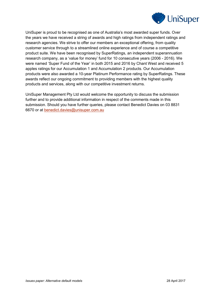

UniSuper is proud to be recognised as one of Australia's most awarded super funds. Over the years we have received a string of awards and high ratings from independent ratings and research agencies. We strive to offer our members an exceptional offering, from quality customer service through to a streamlined online experience and of course a competitive product suite. We have been recognised by SuperRatings, an independent superannuation research company, as a 'value for money' fund for 10 consecutive years (2006 - 2016). We were named 'Super Fund of the Year' in both 2015 and 2016 by Chant West and received 5 apples ratings for our Accumulation 1 and Accumulation 2 products. Our Accumulation products were also awarded a 10-year Platinum Performance rating by SuperRatings. These awards reflect our ongoing commitment to providing members with the highest quality products and services, along with our competitive investment returns.

UniSuper Management Pty Ltd would welcome the opportunity to discuss the submission further and to provide additional information in respect of the comments made in this submission. Should you have further queries, please contact Benedict Davies on 03 8831 6670 or at [benedict.davies@unisuper.com.au](mailto:benedict.davies@unisuper.com.au)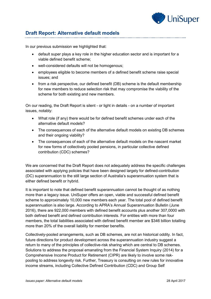

# **Draft Report: Alternative default models**

In our previous submission we highlighted that:

- default super plays a key role in the higher education sector and is important for a viable defined benefit scheme;
- well-considered defaults will not be homogenous;
- employees eligible to become members of a defined benefit scheme raise special issues; and
- from a risk perspective, our defined benefit (DB) scheme is the default membership for new members to reduce selection risk that may compromise the viability of the scheme for both existing and new members.

On our reading, the Draft Report is silent - or light in details - on a number of important issues, notably:

- What role (if any) there would be for defined benefit schemes under each of the alternative default models?
- The consequences of each of the alternative default models on existing DB schemes and their ongoing viability?
- The consequences of each of the alternative default models on the nascent market for new forms of collectively pooled pensions, in particular collective defined contribution (CDC) schemes?

We are concerned that the Draft Report does not adequately address the specific challenges associated with applying policies that have been designed largely for defined-contribution (DC) superannuation to the still large section of Australia's superannuation system that is either defined benefit or hybrid.

It is important to note that defined benefit superannuation cannot be thought of as nothing more than a legacy issue. UniSuper offers an open, viable and successful defined benefit scheme to approximately 10,000 new members each year. The total pool of defined benefit superannuation is also large. According to APRA's Annual Superannuation Bulletin (June 2016), there are 922,000 members with defined benefit accounts plus another 307,0000 with both defined benefit and defined contribution interests. For entities with more than four members, the total liabilities associated with defined benefit member are \$346 billion totalling more than 20% of the overall liability for member benefits.

Collectively-pooled arrangements, such as DB schemes, are not an historical oddity. In fact, future directions for product development across the superannuation industry suggest a return to many of the principles of collective-risk sharing which are central to DB schemes. Solutions to address the proposal emanating from the Financial System Inquiry (2014) for a Comprehensive Income Product for Retirement (CIPR) are likely to involve some riskpooling to address longevity risk. Further, Treasury is consulting on new rules for innovative income streams, including Collective Defined Contribution (CDC) and Group Self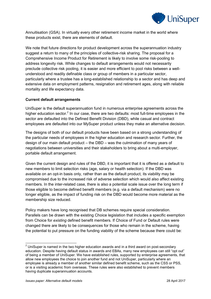

Annuitisation (GSA). In virtually every other retirement income market in the world where these products exist, there are elements of default.

We note that future directions for product development across the superannuation industry suggest a return to many of the principles of collective-risk sharing. The proposal for a Comprehensive Income Product for Retirement is likely to involve some risk-pooling to address longevity risk. While changes to default arrangements would not necessarily preclude collective risk pooling, it is easier and more efficient to pool risks between a wellunderstood and readily definable class or group of members in a particular sector, particularly where a trustee has a long-established relationship to a sector and has deep and extensive data on employment patterns, resignation and retirement ages, along with reliable mortality and life expectancy data.

#### **Current default arrangements**

UniSuper is the default superannuation fund in numerous enterprise agreements across the higher education sector.<sup>2</sup> In our case, there are two defaults: most full-time employees in the sector are defaulted into the Defined Benefit Division (DBD), while casual and contract employees are defaulted into our MySuper product unless they make an alternative decision.

The designs of both of our default products have been based on a strong understanding of the particular needs of employees in the higher education and research sector. Further, the design of our main default product – the DBD – was the culmination of many years of negotiations between universities and their stakeholders to bring about a multi-employer, portable default arrangement.

Given the current design and rules of the DBD, it is important that it is offered as a default to new members to limit selection risks (age, salary or health selection). If the DBD was available on an opt-in basis only, rather than as the default product, its viability may be compromised due to the increased risk of adverse selection which would also affect existing members. In the inter-related case, there is also a potential scale issue over the long term if those eligible to become defined benefit members (e.g. via a default mechanism) were no longer eligible, as the impact of funding risk on the DBD would become more material as the membership size reduced.

Policy makers have long recognised that DB schemes require special consideration. Parallels can be drawn with the existing Choice legislation that includes a specific exemption from Choice for *existing* defined benefit members. If Choice of Fund or Default rules were changed there are likely to be consequences for those who remain in the scheme, having the potential to put pressure on the funding viability of the scheme because there could be:

-

 $2$  UniSuper is named in the two higher education awards and in a third award on post-secondary education. Despite having default status in awards and EBAs, many new employees can still "opt out" of being a member of UniSuper. We have established rules, supported by enterprise agreements, that allow new employees the choice to join another fund and not UniSuper, particularly where an employee is already a member of another similar defined benefit scheme, such as the CSS or PSS, or is a visiting academic from overseas. These rules were also established to prevent members having duplicate superannuation accounts.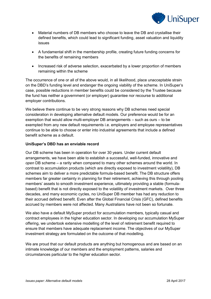

- Material numbers of DB members who choose to leave the DB and crystallise their defined benefits, which could lead to significant funding, asset valuation and liquidity issues
- A fundamental shift in the membership profile, creating future funding concerns for the benefits of remaining members
- Increased risk of adverse selection, exacerbated by a lower proportion of members remaining within the scheme

The occurrence of one or all of the above would, in all likelihood, place unacceptable strain on the DBD's funding level and endanger the ongoing viability of the scheme. In UniSuper's case, possible reductions in member benefits could be considered by the Trustee because the fund has neither a government (or employer) guarantee nor recourse to additional employer contributions.

We believe there continue to be very strong reasons why DB schemes need special consideration in developing alternative default models. Our preference would be for an exemption that would allow multi-employer DB arrangements – such as ours – to be exempted from any new default requirements i.e. employers and employee representatives continue to be able to choose or enter into industrial agreements that include a defined benefit scheme as a default.

## **UniSuper's DBD has an enviable record**

Our DB scheme has been in operation for over 30 years. Under current default arrangements, we have been able to establish a successful, well-funded, innovative and *open* DB scheme – a rarity when compared to many other schemes around the world. In contrast to accumulation products (which are directly exposed to investment volatility), DB schemes aim to deliver a more predictable formula-based benefit. The DB structure offers members far greater certainty in planning for their retirement, achieving this through pooling members' assets to smooth investment experience, ultimately providing a stable (formulabased) benefit that is not directly exposed to the volatility of investment markets. Over three decades, and many economic cycles, no UniSuper DB member has had any reduction to their accrued defined benefit. Even after the Global Financial Crisis (GFC), defined benefits accrued by members were not affected. Many Australians have not been so fortunate.

We also have a default MySuper product for accumulation members, typically casual and contract employees in the higher education sector. In developing our accumulation MySuper offering, we undertook extensive modelling of the level of retirement benefit required to ensure that members have adequate replacement income. The objectives of our MySuper investment strategy are formulated on the outcome of that modelling.

We are proud that our default products are anything but homogenous and are based on an intimate knowledge of our members and the employment patterns, salaries and circumstances particular to the higher education sector.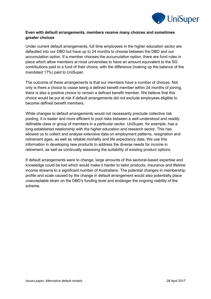

## **Even with default arrangements, members receive many choices and sometimes greater choices**

Under current default arrangements, full time employees in the higher education sector are defaulted into our DBD but have up to 24 months to choose between the DBD and our accumulation option. If a member chooses the accumulation option, there are fund rules in place which allow members at most universities to have an amount equivalent to the SG contributions paid to a fund of their choice, with the difference (making up the balance of the mandated 17%) paid to UniSuper.

The outcome of these arrangements is that our members have a number of choices. Not only is there a choice to cease being a defined benefit member within 24 months of joining, there is also a positive choice to *remain* a defined benefit member. We believe that this choice would be put at risk if default arrangements did not exclude employees eligible to become defined benefit members.

While changes to default arrangements would not necessarily preclude collective risk pooling, it is easier and more efficient to pool risks between a well-understood and readily definable class or group of members in a particular sector. UniSuper, for example, has a long-established relationship with the higher education and research sector. This has allowed us to collect and analyse extensive data on employment patterns, resignation and retirement ages, as well as reliable mortality and life expectancy data. We use this information in developing new products to address the diverse needs for income in retirement, as well as continually assessing the suitability of existing product options.

If default arrangements were to change, large amounts of this sectoral-based expertise and knowledge could be lost which would make it harder to tailor products, insurance and lifetime income streams to a significant number of Australians. The potential changes in membership profile and scale caused by the change in default arrangement would also potentially place unacceptable strain on the DBD's funding level and endanger the ongoing viability of the scheme.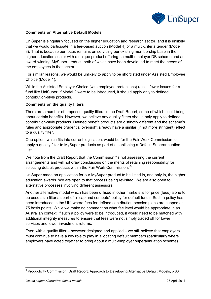

## **Comments on Alternative Default Models**

UniSuper is singularly focused on the higher education and research sector, and it is unlikely that we would participate in a fee-based auction (Model 4) or a multi-criteria tender (Model 3). That is because our focus remains on servicing our existing membership base in the higher education sector with a unique product offering: a multi-employer DB scheme and an award-winning MySuper product, both of which have been developed to meet the needs of the employees in that sector.

For similar reasons, we would be unlikely to apply to be shortlisted under Assisted Employee Choice (Model 1).

While the Assisted Employer Choice (with employee protections) raises fewer issues for a fund like UniSuper, if Model 2 were to be introduced, it should apply only to defined contribution-style products.

#### **Comments on the quality filters**

There are a number of proposed quality filters in the Draft Report, some of which could bring about certain benefits. However, we believe any quality filters should only apply to defined contribution-style products. Defined benefit products are distinctly different and the scheme's rules and appropriate prudential oversight already have a similar (if not more stringent) effect to a quality filter.

One option, which fits into current legislation, would be for the Fair Work Commission to apply a quality filter to MySuper products as part of establishing a Default Superannuation List.

We note from the Draft Report that the Commission "is not assessing the current arrangements and will not draw conclusions on the merits of retaining responsibility for selecting default products within the Fair Work Commission."<sup>3</sup>

UniSuper made an application for our MySuper product to be listed in, and only in, the higher education awards. We are open to that process being revisited. We are also open to alternative processes involving different assessors.

Another alternative model which has been utilised in other markets is for price (fees) alone to be used as a filter as part of a "cap and compete" policy for default funds. Such a policy has been introduced in the UK, where fees for defined contribution pension plans are capped at 75 basis points. While we make no comment on what fee level would be appropriate in an Australian context, if such a policy were to be introduced, it would need to be matched with additional integrity measures to ensure that fees were not simply traded off for lower services and lower investment returns.

Even with a quality filter – however designed and applied – we still believe that employers must continue to have a key role to play in allocating default members (particularly where employers have acted together to bring about a multi-employer superannuation scheme).

\_\_\_\_\_\_\_\_\_\_\_\_\_\_\_\_\_\_\_\_\_\_\_\_\_\_\_\_\_\_\_\_\_\_\_<br><sup>3</sup> Productivity Commission, Draft Report: Approach to Developing Alternative Default Models, p 83